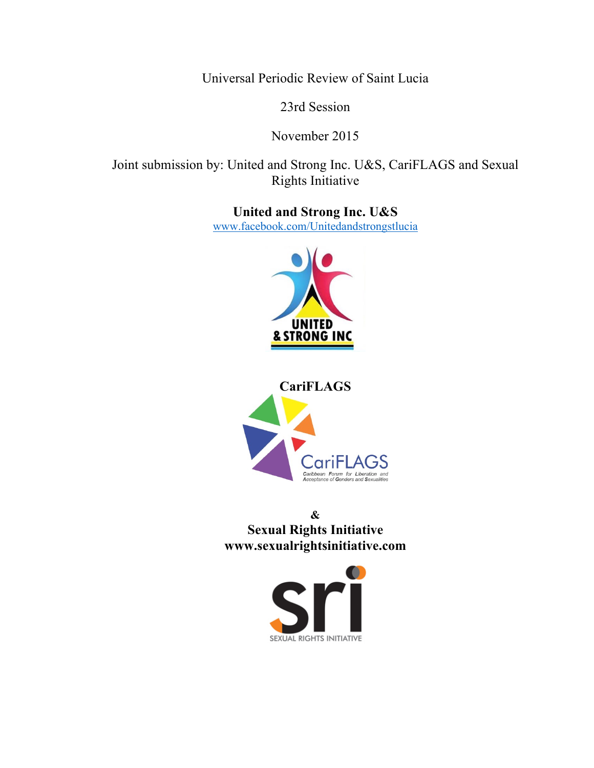Universal Periodic Review of Saint Lucia

23rd Session

November 2015

Joint submission by: United and Strong Inc. U&S, CariFLAGS and Sexual Rights Initiative

> **United and Strong Inc. U&S** www.facebook.com/Unitedandstrongstlucia





**& Sexual Rights Initiative www.sexualrightsinitiative.com**

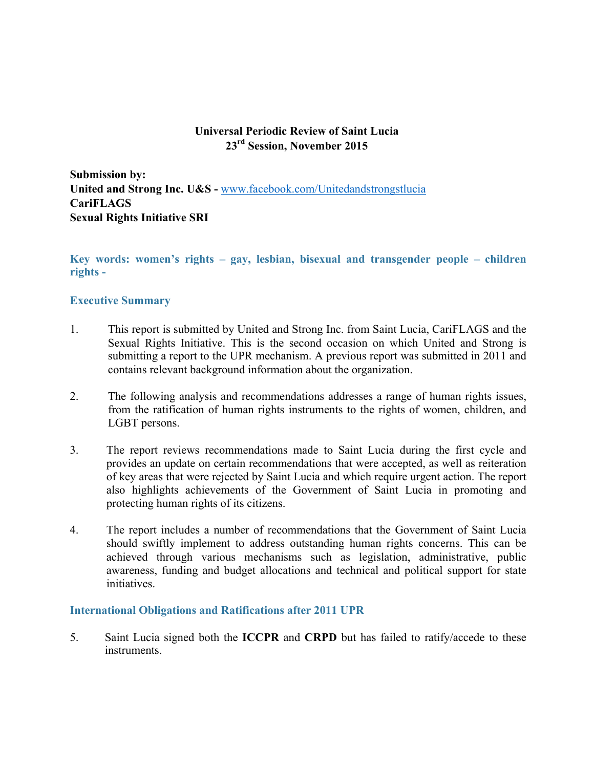# **Universal Periodic Review of Saint Lucia 23rd Session, November 2015**

**Submission by: United and Strong Inc. U&S -** www.facebook.com/Unitedandstrongstlucia **CariFLAGS Sexual Rights Initiative SRI**

**Key words: women's rights – gay, lesbian, bisexual and transgender people – children rights -**

## **Executive Summary**

- 1. This report is submitted by United and Strong Inc. from Saint Lucia, CariFLAGS and the Sexual Rights Initiative. This is the second occasion on which United and Strong is submitting a report to the UPR mechanism. A previous report was submitted in 2011 and contains relevant background information about the organization.
- 2. The following analysis and recommendations addresses a range of human rights issues, from the ratification of human rights instruments to the rights of women, children, and LGBT persons.
- 3. The report reviews recommendations made to Saint Lucia during the first cycle and provides an update on certain recommendations that were accepted, as well as reiteration of key areas that were rejected by Saint Lucia and which require urgent action. The report also highlights achievements of the Government of Saint Lucia in promoting and protecting human rights of its citizens.
- 4. The report includes a number of recommendations that the Government of Saint Lucia should swiftly implement to address outstanding human rights concerns. This can be achieved through various mechanisms such as legislation, administrative, public awareness, funding and budget allocations and technical and political support for state initiatives.

#### **International Obligations and Ratifications after 2011 UPR**

5. Saint Lucia signed both the **ICCPR** and **CRPD** but has failed to ratify/accede to these instruments.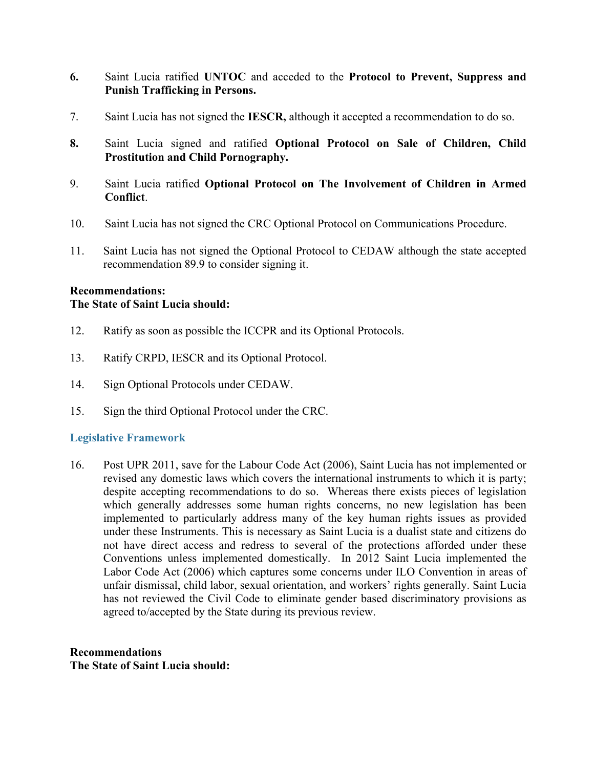- **6.** Saint Lucia ratified **UNTOC** and acceded to the **Protocol to Prevent, Suppress and Punish Trafficking in Persons.**
- 7. Saint Lucia has not signed the **IESCR,** although it accepted a recommendation to do so.
- **8.** Saint Lucia signed and ratified **Optional Protocol on Sale of Children, Child Prostitution and Child Pornography.**
- 9. Saint Lucia ratified **Optional Protocol on The Involvement of Children in Armed Conflict**.
- 10. Saint Lucia has not signed the CRC Optional Protocol on Communications Procedure.
- 11. Saint Lucia has not signed the Optional Protocol to CEDAW although the state accepted recommendation 89.9 to consider signing it.

## **Recommendations: The State of Saint Lucia should:**

- 12. Ratify as soon as possible the ICCPR and its Optional Protocols.
- 13. Ratify CRPD, IESCR and its Optional Protocol.
- 14. Sign Optional Protocols under CEDAW.
- 15. Sign the third Optional Protocol under the CRC.

## **Legislative Framework**

16. Post UPR 2011, save for the Labour Code Act (2006), Saint Lucia has not implemented or revised any domestic laws which covers the international instruments to which it is party; despite accepting recommendations to do so. Whereas there exists pieces of legislation which generally addresses some human rights concerns, no new legislation has been implemented to particularly address many of the key human rights issues as provided under these Instruments. This is necessary as Saint Lucia is a dualist state and citizens do not have direct access and redress to several of the protections afforded under these Conventions unless implemented domestically. In 2012 Saint Lucia implemented the Labor Code Act (2006) which captures some concerns under ILO Convention in areas of unfair dismissal, child labor, sexual orientation, and workers' rights generally. Saint Lucia has not reviewed the Civil Code to eliminate gender based discriminatory provisions as agreed to/accepted by the State during its previous review.

**Recommendations The State of Saint Lucia should:**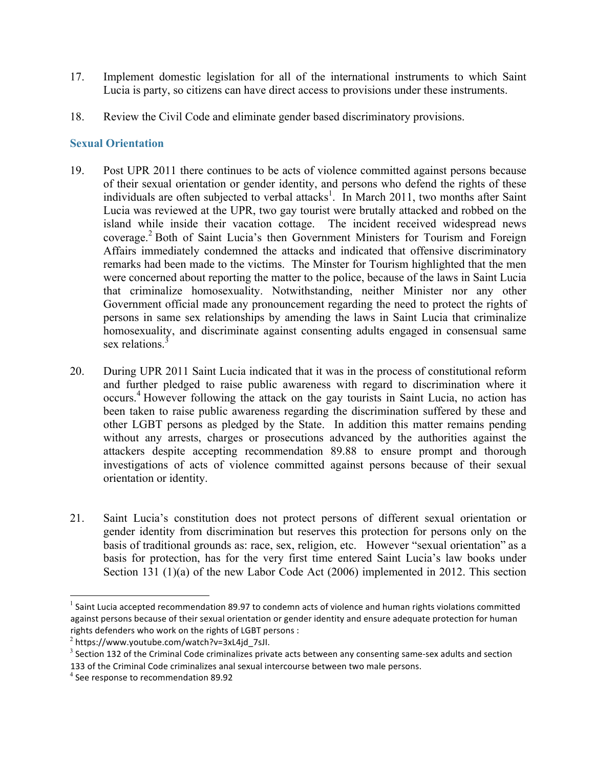- 17. Implement domestic legislation for all of the international instruments to which Saint Lucia is party, so citizens can have direct access to provisions under these instruments.
- 18. Review the Civil Code and eliminate gender based discriminatory provisions.

# **Sexual Orientation**

- 19. Post UPR 2011 there continues to be acts of violence committed against persons because of their sexual orientation or gender identity, and persons who defend the rights of these individuals are often subjected to verbal attacks<sup>1</sup>. In March 2011, two months after Saint Lucia was reviewed at the UPR, two gay tourist were brutally attacked and robbed on the island while inside their vacation cottage. The incident received widespread news coverage.<sup>2</sup> Both of Saint Lucia's then Government Ministers for Tourism and Foreign Affairs immediately condemned the attacks and indicated that offensive discriminatory remarks had been made to the victims. The Minster for Tourism highlighted that the men were concerned about reporting the matter to the police, because of the laws in Saint Lucia that criminalize homosexuality. Notwithstanding, neither Minister nor any other Government official made any pronouncement regarding the need to protect the rights of persons in same sex relationships by amending the laws in Saint Lucia that criminalize homosexuality, and discriminate against consenting adults engaged in consensual same sex relations.<sup>3</sup>
- 20. During UPR 2011 Saint Lucia indicated that it was in the process of constitutional reform and further pledged to raise public awareness with regard to discrimination where it occurs. <sup>4</sup> However following the attack on the gay tourists in Saint Lucia, no action has been taken to raise public awareness regarding the discrimination suffered by these and other LGBT persons as pledged by the State. In addition this matter remains pending without any arrests, charges or prosecutions advanced by the authorities against the attackers despite accepting recommendation 89.88 to ensure prompt and thorough investigations of acts of violence committed against persons because of their sexual orientation or identity.
- 21. Saint Lucia's constitution does not protect persons of different sexual orientation or gender identity from discrimination but reserves this protection for persons only on the basis of traditional grounds as: race, sex, religion, etc. However "sexual orientation" as a basis for protection, has for the very first time entered Saint Lucia's law books under Section 131 (1)(a) of the new Labor Code Act (2006) implemented in 2012. This section

 $1$  Saint Lucia accepted recommendation 89.97 to condemn acts of violence and human rights violations committed against persons because of their sexual orientation or gender identity and ensure adequate protection for human rights defenders who work on the rights of LGBT persons :

 $^{2}$  https://www.youtube.com/watch?v=3xL4jd\_7sJI.

 $3$  Section 132 of the Criminal Code criminalizes private acts between any consenting same-sex adults and section 133 of the Criminal Code criminalizes anal sexual intercourse between two male persons.

 $4$  See response to recommendation 89.92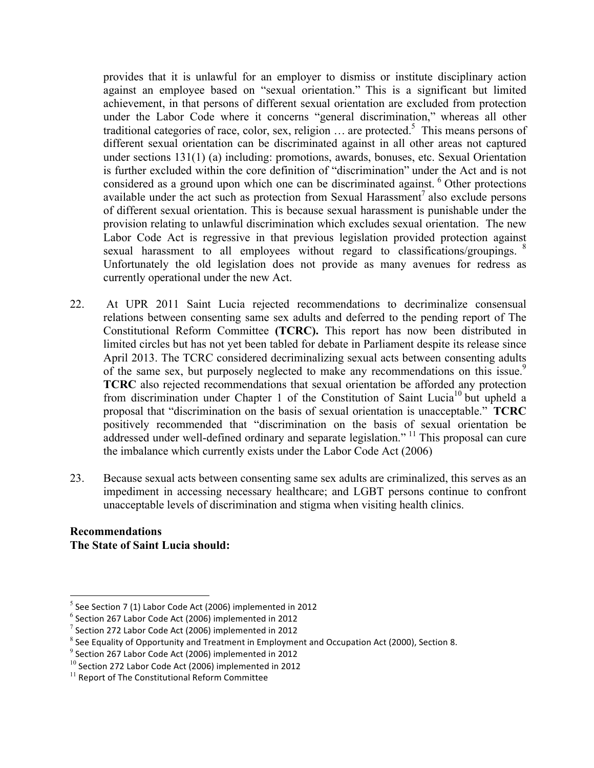provides that it is unlawful for an employer to dismiss or institute disciplinary action against an employee based on "sexual orientation." This is a significant but limited achievement, in that persons of different sexual orientation are excluded from protection under the Labor Code where it concerns "general discrimination," whereas all other traditional categories of race, color, sex, religion  $\ldots$  are protected.<sup>5</sup> This means persons of different sexual orientation can be discriminated against in all other areas not captured under sections 131(1) (a) including: promotions, awards, bonuses, etc. Sexual Orientation is further excluded within the core definition of "discrimination" under the Act and is not considered as a ground upon which one can be discriminated against. <sup>6</sup> Other protections available under the act such as protection from Sexual Harassment<sup>7</sup> also exclude persons of different sexual orientation. This is because sexual harassment is punishable under the provision relating to unlawful discrimination which excludes sexual orientation. The new Labor Code Act is regressive in that previous legislation provided protection against sexual harassment to all employees without regard to classifications/groupings.  $8$ Unfortunately the old legislation does not provide as many avenues for redress as currently operational under the new Act.

- 22. At UPR 2011 Saint Lucia rejected recommendations to decriminalize consensual relations between consenting same sex adults and deferred to the pending report of The Constitutional Reform Committee **(TCRC).** This report has now been distributed in limited circles but has not yet been tabled for debate in Parliament despite its release since April 2013. The TCRC considered decriminalizing sexual acts between consenting adults of the same sex, but purposely neglected to make any recommendations on this issue.<sup>9</sup> **TCRC** also rejected recommendations that sexual orientation be afforded any protection from discrimination under Chapter 1 of the Constitution of Saint Lucia<sup>10</sup> but upheld a proposal that "discrimination on the basis of sexual orientation is unacceptable." **TCRC** positively recommended that "discrimination on the basis of sexual orientation be addressed under well-defined ordinary and separate legislation."<sup>11</sup> This proposal can cure the imbalance which currently exists under the Labor Code Act (2006)
- 23. Because sexual acts between consenting same sex adults are criminalized, this serves as an impediment in accessing necessary healthcare; and LGBT persons continue to confront unacceptable levels of discrimination and stigma when visiting health clinics.

## **Recommendations The State of Saint Lucia should:**

 $5$  See Section 7 (1) Labor Code Act (2006) implemented in 2012

 $6$  Section 267 Labor Code Act (2006) implemented in 2012

 $7$  Section 272 Labor Code Act (2006) implemented in 2012

 $8$  See Equality of Opportunity and Treatment in Employment and Occupation Act (2000), Section 8.

 $9$  Section 267 Labor Code Act (2006) implemented in 2012

 $^{10}$  Section 272 Labor Code Act (2006) implemented in 2012

 $11$  Report of The Constitutional Reform Committee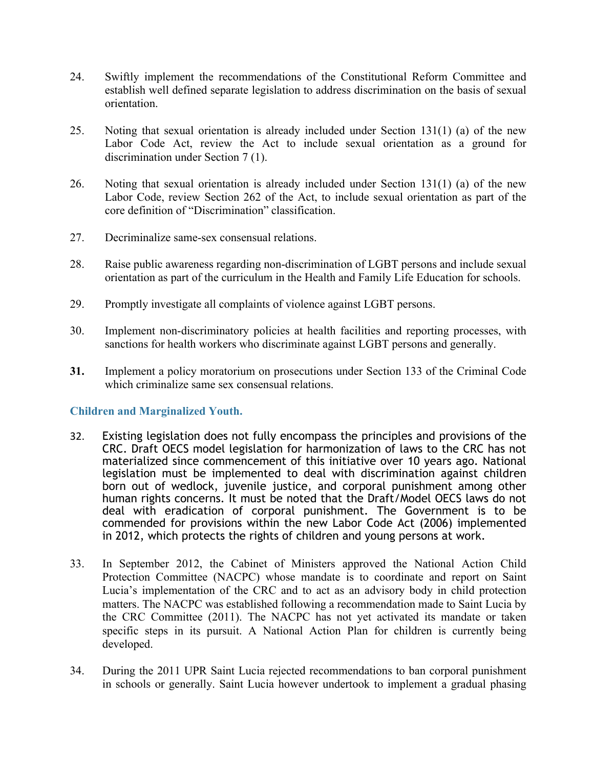- 24. Swiftly implement the recommendations of the Constitutional Reform Committee and establish well defined separate legislation to address discrimination on the basis of sexual orientation.
- 25. Noting that sexual orientation is already included under Section 131(1) (a) of the new Labor Code Act, review the Act to include sexual orientation as a ground for discrimination under Section 7 (1).
- 26. Noting that sexual orientation is already included under Section 131(1) (a) of the new Labor Code, review Section 262 of the Act, to include sexual orientation as part of the core definition of "Discrimination" classification.
- 27. Decriminalize same-sex consensual relations.
- 28. Raise public awareness regarding non-discrimination of LGBT persons and include sexual orientation as part of the curriculum in the Health and Family Life Education for schools.
- 29. Promptly investigate all complaints of violence against LGBT persons.
- 30. Implement non-discriminatory policies at health facilities and reporting processes, with sanctions for health workers who discriminate against LGBT persons and generally.
- **31.** Implement a policy moratorium on prosecutions under Section 133 of the Criminal Code which criminalize same sex consensual relations.

# **Children and Marginalized Youth.**

- 32. Existing legislation does not fully encompass the principles and provisions of the CRC. Draft OECS model legislation for harmonization of laws to the CRC has not materialized since commencement of this initiative over 10 years ago. National legislation must be implemented to deal with discrimination against children born out of wedlock, juvenile justice, and corporal punishment among other human rights concerns. It must be noted that the Draft/Model OECS laws do not deal with eradication of corporal punishment. The Government is to be commended for provisions within the new Labor Code Act (2006) implemented in 2012, which protects the rights of children and young persons at work.
- 33. In September 2012, the Cabinet of Ministers approved the National Action Child Protection Committee (NACPC) whose mandate is to coordinate and report on Saint Lucia's implementation of the CRC and to act as an advisory body in child protection matters. The NACPC was established following a recommendation made to Saint Lucia by the CRC Committee (2011). The NACPC has not yet activated its mandate or taken specific steps in its pursuit. A National Action Plan for children is currently being developed.
- 34. During the 2011 UPR Saint Lucia rejected recommendations to ban corporal punishment in schools or generally. Saint Lucia however undertook to implement a gradual phasing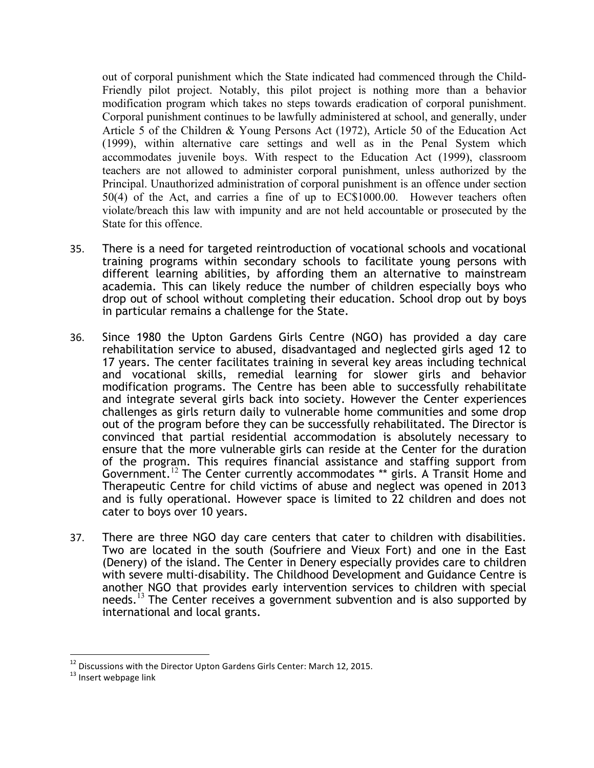out of corporal punishment which the State indicated had commenced through the Child-Friendly pilot project. Notably, this pilot project is nothing more than a behavior modification program which takes no steps towards eradication of corporal punishment. Corporal punishment continues to be lawfully administered at school, and generally, under Article 5 of the Children & Young Persons Act (1972), Article 50 of the Education Act (1999), within alternative care settings and well as in the Penal System which accommodates juvenile boys. With respect to the Education Act (1999), classroom teachers are not allowed to administer corporal punishment, unless authorized by the Principal. Unauthorized administration of corporal punishment is an offence under section 50(4) of the Act, and carries a fine of up to EC\$1000.00. However teachers often violate/breach this law with impunity and are not held accountable or prosecuted by the State for this offence.

- 35. There is a need for targeted reintroduction of vocational schools and vocational training programs within secondary schools to facilitate young persons with different learning abilities, by affording them an alternative to mainstream academia. This can likely reduce the number of children especially boys who drop out of school without completing their education. School drop out by boys in particular remains a challenge for the State.
- 36. Since 1980 the Upton Gardens Girls Centre (NGO) has provided a day care rehabilitation service to abused, disadvantaged and neglected girls aged 12 to 17 years. The center facilitates training in several key areas including technical and vocational skills, remedial learning for slower girls and behavior modification programs. The Centre has been able to successfully rehabilitate and integrate several girls back into society. However the Center experiences challenges as girls return daily to vulnerable home communities and some drop out of the program before they can be successfully rehabilitated. The Director is convinced that partial residential accommodation is absolutely necessary to ensure that the more vulnerable girls can reside at the Center for the duration of the program. This requires financial assistance and staffing support from Government.<sup>12</sup> The Center currently accommodates \*\* girls. A Transit Home and Therapeutic Centre for child victims of abuse and neglect was opened in 2013 and is fully operational. However space is limited to 22 children and does not cater to boys over 10 years.
- 37. There are three NGO day care centers that cater to children with disabilities. Two are located in the south (Soufriere and Vieux Fort) and one in the East (Denery) of the island. The Center in Denery especially provides care to children with severe multi-disability. The Childhood Development and Guidance Centre is another NGO that provides early intervention services to children with special needs.<sup>13</sup> The Center receives a government subvention and is also supported by international and local grants.

<sup>&</sup>lt;sup>12</sup> Discussions with the Director Upton Gardens Girls Center: March 12, 2015.<br><sup>13</sup> Insert webpage link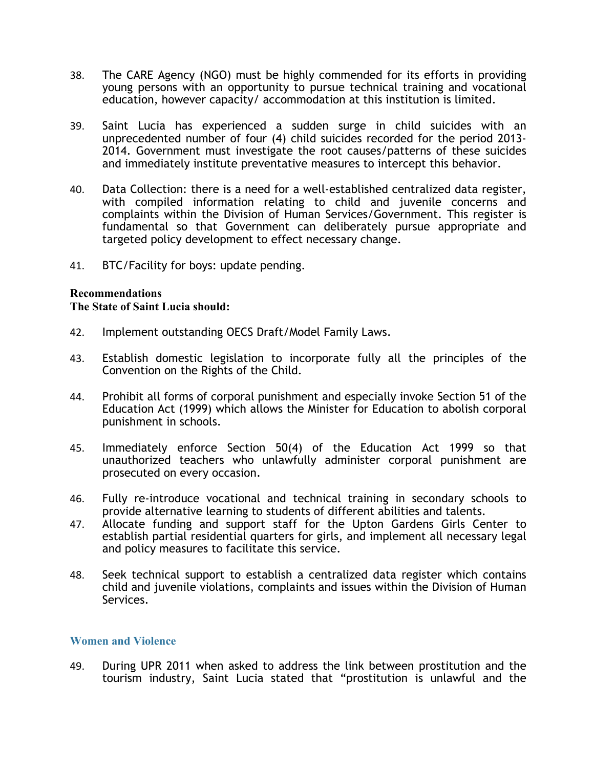- 38. The CARE Agency (NGO) must be highly commended for its efforts in providing young persons with an opportunity to pursue technical training and vocational education, however capacity/ accommodation at this institution is limited.
- 39. Saint Lucia has experienced a sudden surge in child suicides with an unprecedented number of four (4) child suicides recorded for the period 2013- 2014. Government must investigate the root causes/patterns of these suicides and immediately institute preventative measures to intercept this behavior.
- 40. Data Collection: there is a need for a well-established centralized data register, with compiled information relating to child and juvenile concerns and complaints within the Division of Human Services/Government. This register is fundamental so that Government can deliberately pursue appropriate and targeted policy development to effect necessary change.
- 41. BTC/Facility for boys: update pending.

## **Recommendations**

#### **The State of Saint Lucia should:**

- 42. Implement outstanding OECS Draft/Model Family Laws.
- 43. Establish domestic legislation to incorporate fully all the principles of the Convention on the Rights of the Child.
- 44. Prohibit all forms of corporal punishment and especially invoke Section 51 of the Education Act (1999) which allows the Minister for Education to abolish corporal punishment in schools.
- 45. Immediately enforce Section 50(4) of the Education Act 1999 so that unauthorized teachers who unlawfully administer corporal punishment are prosecuted on every occasion.
- 46. Fully re-introduce vocational and technical training in secondary schools to provide alternative learning to students of different abilities and talents.
- 47. Allocate funding and support staff for the Upton Gardens Girls Center to establish partial residential quarters for girls, and implement all necessary legal and policy measures to facilitate this service.
- 48. Seek technical support to establish a centralized data register which contains child and juvenile violations, complaints and issues within the Division of Human Services.

## **Women and Violence**

49. During UPR 2011 when asked to address the link between prostitution and the tourism industry, Saint Lucia stated that "prostitution is unlawful and the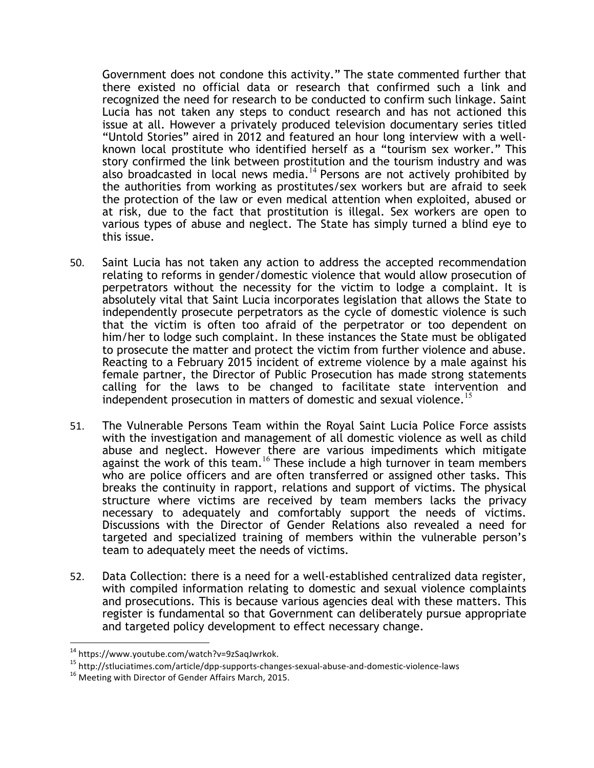Government does not condone this activity." The state commented further that there existed no official data or research that confirmed such a link and recognized the need for research to be conducted to confirm such linkage. Saint Lucia has not taken any steps to conduct research and has not actioned this issue at all. However a privately produced television documentary series titled "Untold Stories" aired in 2012 and featured an hour long interview with a wellknown local prostitute who identified herself as a "tourism sex worker." This story confirmed the link between prostitution and the tourism industry and was also broadcasted in local news media.<sup>14</sup> Persons are not actively prohibited by the authorities from working as prostitutes/sex workers but are afraid to seek the protection of the law or even medical attention when exploited, abused or at risk, due to the fact that prostitution is illegal. Sex workers are open to various types of abuse and neglect. The State has simply turned a blind eye to this issue.

- 50. Saint Lucia has not taken any action to address the accepted recommendation relating to reforms in gender/domestic violence that would allow prosecution of perpetrators without the necessity for the victim to lodge a complaint. It is absolutely vital that Saint Lucia incorporates legislation that allows the State to independently prosecute perpetrators as the cycle of domestic violence is such that the victim is often too afraid of the perpetrator or too dependent on him/her to lodge such complaint. In these instances the State must be obligated to prosecute the matter and protect the victim from further violence and abuse. Reacting to a February 2015 incident of extreme violence by a male against his female partner, the Director of Public Prosecution has made strong statements calling for the laws to be changed to facilitate state intervention and independent prosecution in matters of domestic and sexual violence.<sup>15</sup>
- 51. The Vulnerable Persons Team within the Royal Saint Lucia Police Force assists with the investigation and management of all domestic violence as well as child abuse and neglect. However there are various impediments which mitigate against the work of this team.<sup>16</sup> These include a high turnover in team members who are police officers and are often transferred or assigned other tasks. This breaks the continuity in rapport, relations and support of victims. The physical structure where victims are received by team members lacks the privacy necessary to adequately and comfortably support the needs of victims. Discussions with the Director of Gender Relations also revealed a need for targeted and specialized training of members within the vulnerable person's team to adequately meet the needs of victims.
- 52. Data Collection: there is a need for a well-established centralized data register, with compiled information relating to domestic and sexual violence complaints and prosecutions. This is because various agencies deal with these matters. This register is fundamental so that Government can deliberately pursue appropriate and targeted policy development to effect necessary change.

<sup>&</sup>lt;sup>14</sup> https://www.youtube.com/watch?v=9zSaqJwrkok.<br><sup>15</sup> http://stluciatimes.com/article/dpp-supports-changes-sexual-abuse-and-domestic-violence-laws<br><sup>16</sup> Meeting with Director of Gender Affairs March, 2015.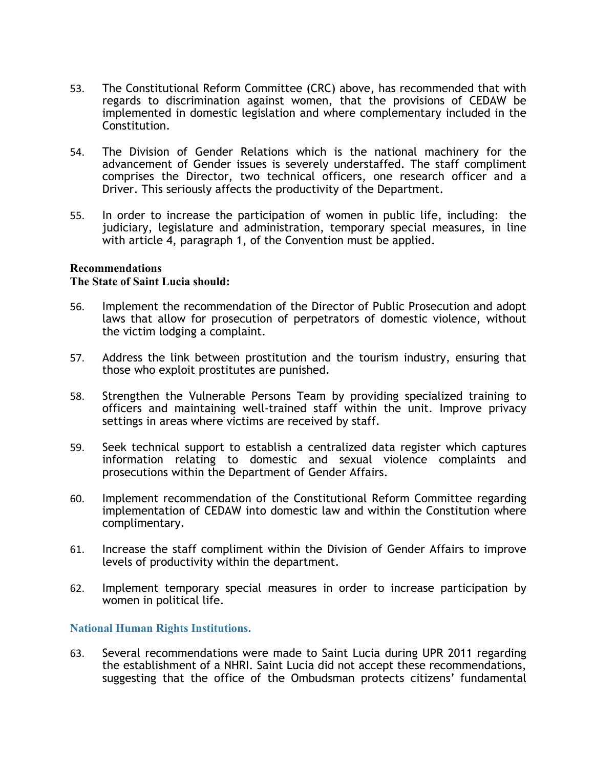- 53. The Constitutional Reform Committee (CRC) above, has recommended that with regards to discrimination against women, that the provisions of CEDAW be implemented in domestic legislation and where complementary included in the Constitution.
- 54. The Division of Gender Relations which is the national machinery for the advancement of Gender issues is severely understaffed. The staff compliment comprises the Director, two technical officers, one research officer and a Driver. This seriously affects the productivity of the Department.
- 55. In order to increase the participation of women in public life, including: the judiciary, legislature and administration, temporary special measures, in line with article 4, paragraph 1, of the Convention must be applied.

#### **Recommendations**

#### **The State of Saint Lucia should:**

- 56. Implement the recommendation of the Director of Public Prosecution and adopt laws that allow for prosecution of perpetrators of domestic violence, without the victim lodging a complaint.
- 57. Address the link between prostitution and the tourism industry, ensuring that those who exploit prostitutes are punished.
- 58. Strengthen the Vulnerable Persons Team by providing specialized training to officers and maintaining well-trained staff within the unit. Improve privacy settings in areas where victims are received by staff.
- 59. Seek technical support to establish a centralized data register which captures information relating to domestic and sexual violence complaints and prosecutions within the Department of Gender Affairs.
- 60. Implement recommendation of the Constitutional Reform Committee regarding implementation of CEDAW into domestic law and within the Constitution where complimentary.
- 61. Increase the staff compliment within the Division of Gender Affairs to improve levels of productivity within the department.
- 62. Implement temporary special measures in order to increase participation by women in political life.

## **National Human Rights Institutions.**

63. Several recommendations were made to Saint Lucia during UPR 2011 regarding the establishment of a NHRI. Saint Lucia did not accept these recommendations, suggesting that the office of the Ombudsman protects citizens' fundamental